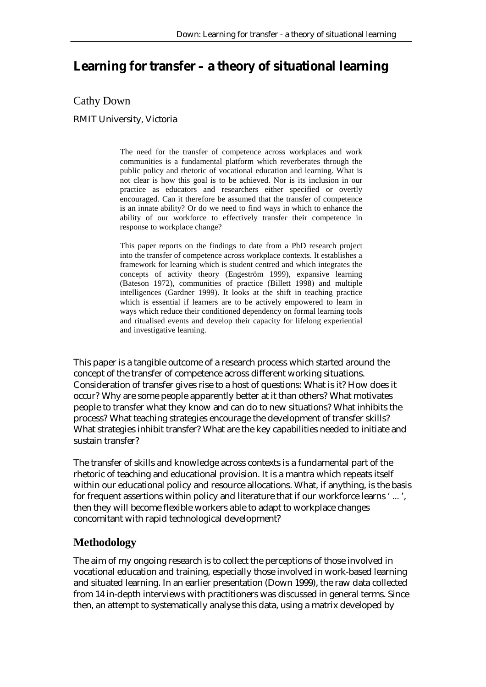# **Learning for transfer – a theory of situational learning**

Cathy Down

RMIT University, Victoria

The need for the transfer of competence across workplaces and work communities is a fundamental platform which reverberates through the public policy and rhetoric of vocational education and learning. What is not clear is how this goal is to be achieved. Nor is its inclusion in our practice as educators and researchers either specified or overtly encouraged. Can it therefore be assumed that the transfer of competence is an innate ability? Or do we need to find ways in which to enhance the ability of our workforce to effectively transfer their competence in response to workplace change?

This paper reports on the findings to date from a PhD research project into the transfer of competence across workplace contexts. It establishes a framework for learning which is student centred and which integrates the concepts of activity theory (Engeström 1999), expansive learning (Bateson 1972), communities of practice (Billett 1998) and multiple intelligences (Gardner 1999). It looks at the shift in teaching practice which is essential if learners are to be actively empowered to learn in ways which reduce their conditioned dependency on formal learning tools and ritualised events and develop their capacity for lifelong experiential and investigative learning.

This paper is a tangible outcome of a research process which started around the concept of the transfer of competence across different working situations. Consideration of transfer gives rise to a host of questions: What is it? How does it occur? Why are some people apparently better at it than others? What motivates people to transfer what they know and can do to new situations? What inhibits the process? What teaching strategies encourage the development of transfer skills? What strategies inhibit transfer? What are the key capabilities needed to initiate and sustain transfer?

The transfer of skills and knowledge across contexts is a fundamental part of the rhetoric of teaching and educational provision. It is a mantra which repeats itself within our educational policy and resource allocations. What, if anything, is the basis for frequent assertions within policy and literature that if our workforce learns ' ... ', then they will become flexible workers able to adapt to workplace changes concomitant with rapid technological development?

### **Methodology**

The aim of my ongoing research is to collect the perceptions of those involved in vocational education and training, especially those involved in work-based learning and situated learning. In an earlier presentation (Down 1999), the raw data collected from 14 in-depth interviews with practitioners was discussed in general terms. Since then, an attempt to systematically analyse this data, using a matrix developed by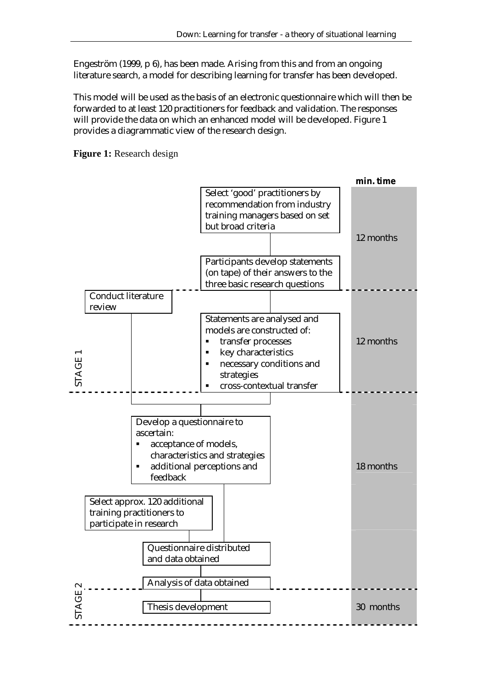Engeström (1999, p 6), has been made. Arising from this and from an ongoing literature search, a model for describing learning for transfer has been developed.

This model will be used as the basis of an electronic questionnaire which will then be forwarded to at least 120 practitioners for feedback and validation. The responses will provide the data on which an enhanced model will be developed. Figure 1 provides a diagrammatic view of the research design.

**Figure 1:** Research design

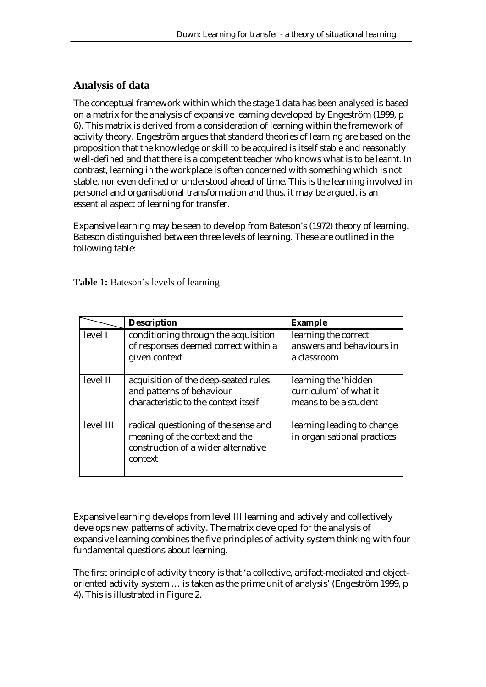## **Analysis of data**

The conceptual framework within which the stage 1 data has been analysed is based on a matrix for the analysis of expansive learning developed by Engeström (1999, p 6). This matrix is derived from a consideration of learning within the framework of activity theory. Engeström argues that standard theories of learning are based on the proposition that the knowledge or skill to be acquired is itself stable and reasonably well-defined and that there is a competent teacher who knows what is to be learnt. In contrast, learning in the workplace is often concerned with something which is not stable, nor even defined or understood ahead of time. This is the learning involved in personal and organisational transformation and thus, it may be argued, is an essential aspect of learning for transfer.

Expansive learning may be seen to develop from Bateson's (1972) theory of learning. Bateson distinguished between three levels of learning. These are outlined in the following table:

**Table 1:** Bateson's levels of learning

|           | <b>Description</b>                                                                                                       | <b>Example</b>                                                          |
|-----------|--------------------------------------------------------------------------------------------------------------------------|-------------------------------------------------------------------------|
| level I   | conditioning through the acquisition<br>of responses deemed correct within a<br>given context                            | learning the correct<br>answers and behaviours in<br>a classroom        |
| level II  | acquisition of the deep-seated rules<br>and patterns of behaviour<br>characteristic to the context itself                | learning the 'hidden<br>curriculum' of what it<br>means to be a student |
| level III | radical questioning of the sense and<br>meaning of the context and the<br>construction of a wider alternative<br>context | learning leading to change<br>in organisational practices               |

Expansive learning develops from level III learning and actively and collectively develops new patterns of activity. The matrix developed for the analysis of expansive learning combines the five principles of activity system thinking with four fundamental questions about learning.

The first principle of activity theory is that 'a collective, artifact-mediated and objectoriented activity system … is taken as the prime unit of analysis' (Engeström 1999, p 4). This is illustrated in Figure 2.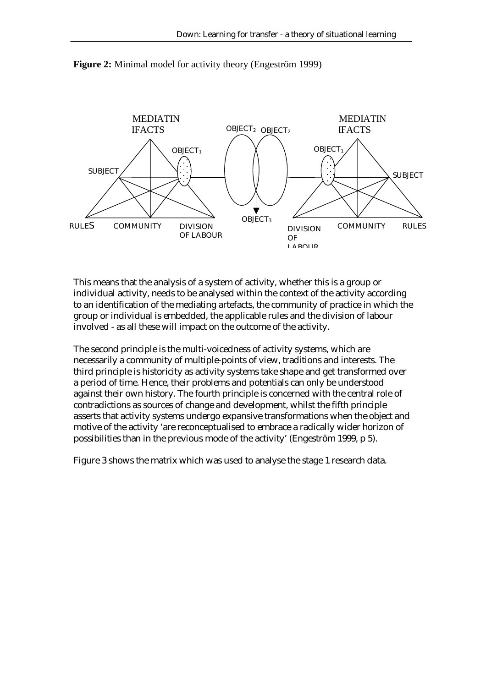

**Figure 2:** Minimal model for activity theory (Engeström 1999)

This means that the analysis of a system of activity, whether this is a group or individual activity, needs to be analysed within the context of the activity according to an identification of the mediating artefacts, the community of practice in which the group or individual is embedded, the applicable rules and the division of labour involved - as all these will impact on the outcome of the activity.

The second principle is the multi-voicedness of activity systems, which are necessarily a community of multiple-points of view, traditions and interests. The third principle is historicity as activity systems take shape and get transformed over a period of time. Hence, their problems and potentials can only be understood against their own history. The fourth principle is concerned with the central role of contradictions as sources of change and development, whilst the fifth principle asserts that activity systems undergo expansive transformations when the object and motive of the activity 'are reconceptualised to embrace a radically wider horizon of possibilities than in the previous mode of the activity' (Engeström 1999, p 5).

Figure 3 shows the matrix which was used to analyse the stage 1 research data.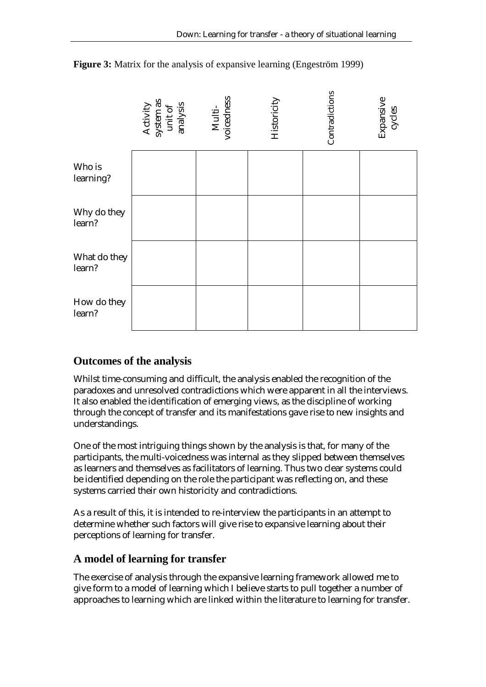

**Figure 3:** Matrix for the analysis of expansive learning (Engeström 1999)

### **Outcomes of the analysis**

Whilst time-consuming and difficult, the analysis enabled the recognition of the paradoxes and unresolved contradictions which were apparent in all the interviews. It also enabled the identification of emerging views, as the discipline of working through the concept of transfer and its manifestations gave rise to new insights and understandings.

One of the most intriguing things shown by the analysis is that, for many of the participants, the multi-voicedness was internal as they slipped between themselves as learners and themselves as facilitators of learning. Thus two clear systems could be identified depending on the role the participant was reflecting on, and these systems carried their own historicity and contradictions.

As a result of this, it is intended to re-interview the participants in an attempt to determine whether such factors will give rise to expansive learning about their perceptions of learning for transfer.

#### **A model of learning for transfer**

The exercise of analysis through the expansive learning framework allowed me to give form to a model of learning which I believe starts to pull together a number of approaches to learning which are linked within the literature to learning for transfer.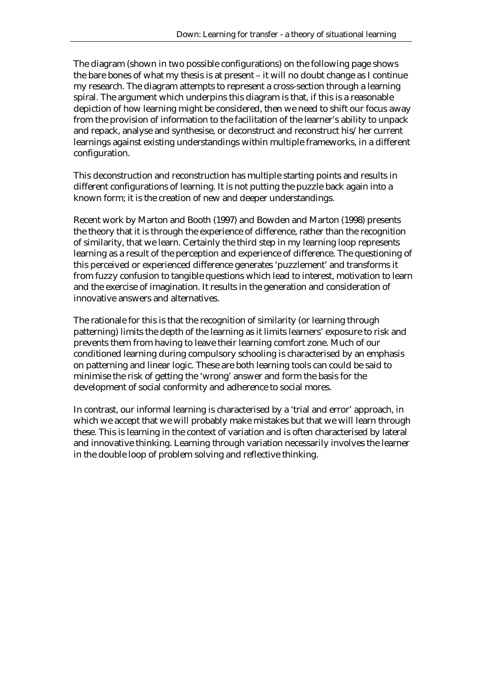The diagram (shown in two possible configurations) on the following page shows the bare bones of what my thesis is at present – it will no doubt change as I continue my research. The diagram attempts to represent a cross-section through a learning spiral. The argument which underpins this diagram is that, if this is a reasonable depiction of how learning might be considered, then we need to shift our focus away from the provision of information to the facilitation of the learner's ability to unpack and repack, analyse and synthesise, or deconstruct and reconstruct his/her current learnings against existing understandings within multiple frameworks, in a different configuration.

This deconstruction and reconstruction has multiple starting points and results in different configurations of learning. It is not putting the puzzle back again into a known form; it is the creation of new and deeper understandings.

Recent work by Marton and Booth (1997) and Bowden and Marton (1998) presents the theory that it is through the experience of difference, rather than the recognition of similarity, that we learn. Certainly the third step in my learning loop represents learning as a result of the perception and experience of difference. The questioning of this perceived or experienced difference generates 'puzzlement' and transforms it from fuzzy confusion to tangible questions which lead to interest, motivation to learn and the exercise of imagination. It results in the generation and consideration of innovative answers and alternatives.

The rationale for this is that the recognition of similarity (or learning through patterning) limits the depth of the learning as it limits learners' exposure to risk and prevents them from having to leave their learning comfort zone. Much of our conditioned learning during compulsory schooling is characterised by an emphasis on patterning and linear logic. These are both learning tools can could be said to minimise the risk of getting the 'wrong' answer and form the basis for the development of social conformity and adherence to social mores.

In contrast, our informal learning is characterised by a 'trial and error' approach, in which we accept that we will probably make mistakes but that we will learn through these. This is learning in the context of variation and is often characterised by lateral and innovative thinking. Learning through variation necessarily involves the learner in the double loop of problem solving and reflective thinking.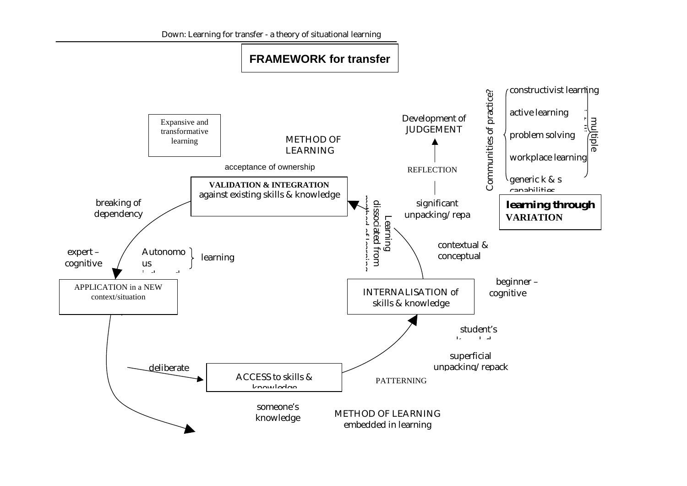Down: Learning for transfer - a theory of situational learning

## **FRAMEWORK for transfer**

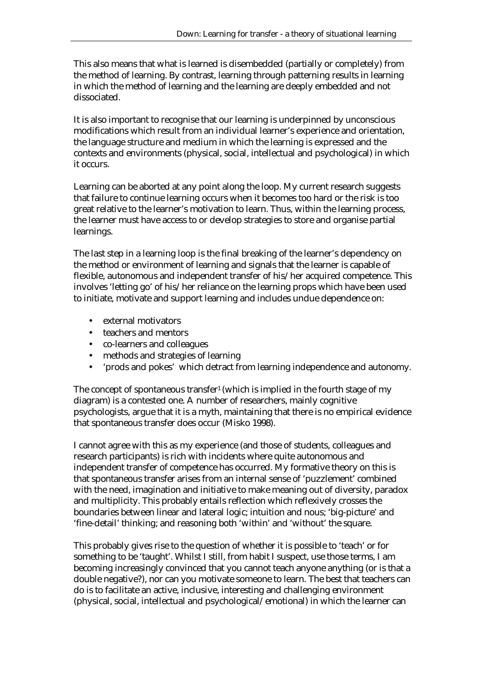This also means that what is learned is disembedded (partially or completely) from the method of learning. By contrast, learning through patterning results in learning in which the method of learning and the learning are deeply embedded and not dissociated.

It is also important to recognise that our learning is underpinned by unconscious modifications which result from an individual learner's experience and orientation, the language structure and medium in which the learning is expressed and the contexts and environments (physical, social, intellectual and psychological) in which it occurs.

Learning can be aborted at any point along the loop. My current research suggests that failure to continue learning occurs when it becomes too hard or the risk is too great relative to the learner's motivation to learn. Thus, within the learning process, the learner must have access to or develop strategies to store and organise partial learnings.

The last step in a learning loop is the final breaking of the learner's dependency on the method or environment of learning and signals that the learner is capable of flexible, autonomous and independent transfer of his/her acquired competence. This involves 'letting go' of his/her reliance on the learning props which have been used to initiate, motivate and support learning and includes undue dependence on:

- external motivators
- teachers and mentors
- co-learners and colleagues
- methods and strategies of learning
- 'prods and pokes' which detract from learning independence and autonomy.

The concept of spontaneous transfer<sup>1</sup> (which is implied in the fourth stage of my diagram) is a contested one. A number of researchers, mainly cognitive psychologists, argue that it is a myth, maintaining that there is no empirical evidence that spontaneous transfer does occur (Misko 1998).

I cannot agree with this as my experience (and those of students, colleagues and research participants) is rich with incidents where quite autonomous and independent transfer of competence has occurred. My formative theory on this is that spontaneous transfer arises from an internal sense of 'puzzlement' combined with the need, imagination and initiative to make meaning out of diversity, paradox and multiplicity. This probably entails reflection which reflexively crosses the boundaries between linear and lateral logic; intuition and nous; 'big-picture' and 'fine-detail' thinking; and reasoning both 'within' and 'without' the square.

This probably gives rise to the question of whether it is possible to 'teach' or for something to be 'taught'. Whilst I still, from habit I suspect, use those terms, I am becoming increasingly convinced that you cannot teach anyone anything (or is that a double negative?), nor can you motivate someone to learn. The best that teachers can do is to facilitate an active, inclusive, interesting and challenging environment (physical, social, intellectual and psychological/emotional) in which the learner can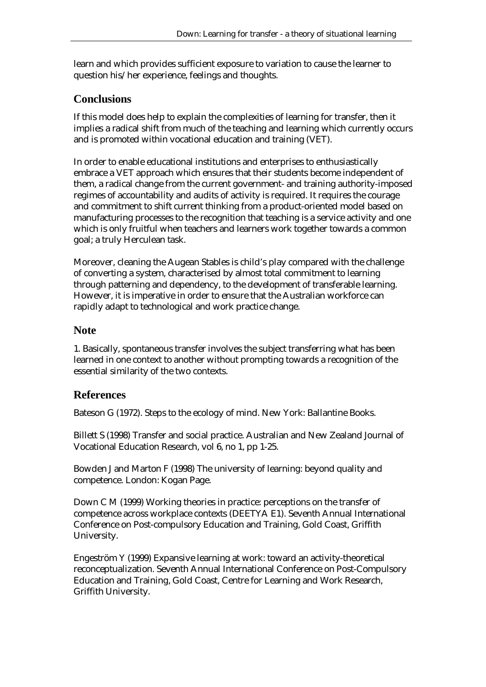learn and which provides sufficient exposure to variation to cause the learner to question his/her experience, feelings and thoughts.

### **Conclusions**

If this model does help to explain the complexities of learning for transfer, then it implies a radical shift from much of the teaching and learning which currently occurs and is promoted within vocational education and training (VET).

In order to enable educational institutions and enterprises to enthusiastically embrace a VET approach which ensures that their students become independent of them, a radical change from the current government- and training authority-imposed regimes of accountability and audits of activity is required. It requires the courage and commitment to shift current thinking from a product-oriented model based on manufacturing processes to the recognition that teaching is a service activity and one which is only fruitful when teachers and learners work together towards a common goal; a truly Herculean task.

Moreover, cleaning the Augean Stables is child's play compared with the challenge of converting a system, characterised by almost total commitment to learning through patterning and dependency, to the development of transferable learning. However, it is imperative in order to ensure that the Australian workforce can rapidly adapt to technological and work practice change.

### **Note**

1. Basically, spontaneous transfer involves the subject transferring what has been learned in one context to another without prompting towards a recognition of the essential similarity of the two contexts.

### **References**

Bateson G (1972). Steps to the ecology of mind. New York: Ballantine Books.

Billett S (1998) Transfer and social practice. Australian and New Zealand Journal of Vocational Education Research, vol 6, no 1, pp 1-25.

Bowden J and Marton F (1998) The university of learning: beyond quality and competence. London: Kogan Page.

Down C M (1999) Working theories in practice: perceptions on the transfer of competence across workplace contexts (DEETYA E1). Seventh Annual International Conference on Post-compulsory Education and Training, Gold Coast, Griffith University.

Engeström Y (1999) Expansive learning at work: toward an activity-theoretical reconceptualization. Seventh Annual International Conference on Post-Compulsory Education and Training, Gold Coast, Centre for Learning and Work Research, Griffith University.